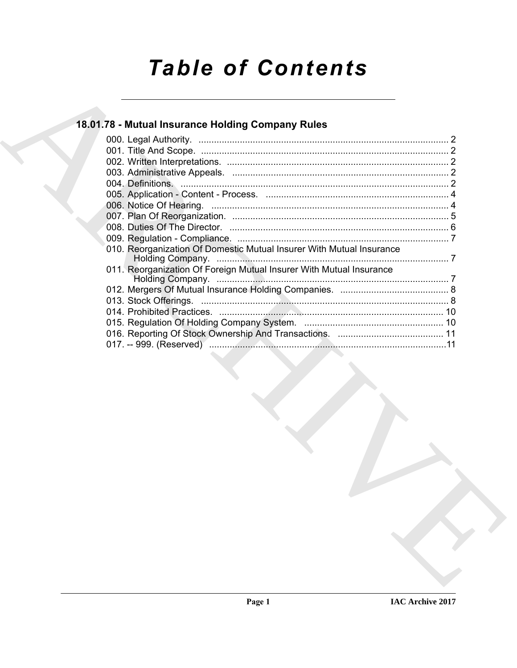# **Table of Contents**

## 18.01.78 - Mutual Insurance Holding Company Rules

| 010. Reorganization Of Domestic Mutual Insurer With Mutual Insurance |  |
|----------------------------------------------------------------------|--|
|                                                                      |  |
| 011. Reorganization Of Foreign Mutual Insurer With Mutual Insurance  |  |
|                                                                      |  |
|                                                                      |  |
|                                                                      |  |
|                                                                      |  |
|                                                                      |  |
|                                                                      |  |
|                                                                      |  |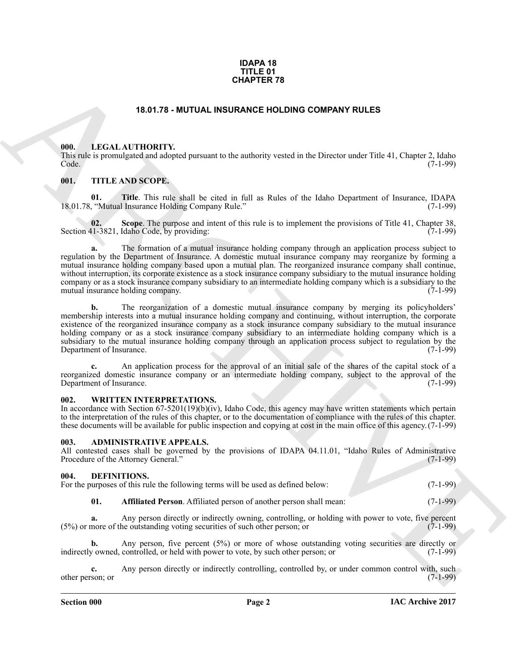### **IDAPA 18 TITLE 01 CHAPTER 78**

### **18.01.78 - MUTUAL INSURANCE HOLDING COMPANY RULES**

### <span id="page-1-1"></span><span id="page-1-0"></span>**000. LEGAL AUTHORITY.**

This rule is promulgated and adopted pursuant to the authority vested in the Director under Title 41, Chapter 2, Idaho Code. (7-1-99)

### <span id="page-1-2"></span>**001. TITLE AND SCOPE.**

**01. Title**. This rule shall be cited in full as Rules of the Idaho Department of Insurance, IDAPA ("Mutual Insurance Holding Company Rule.") 18.01.78, "Mutual Insurance Holding Company Rule."

**02.** Scope. The purpose and intent of this rule is to implement the provisions of Title 41, Chapter 38, [1-3821, Idaho Code, by providing: Section 41-3821, Idaho Code, by providing:

**CHAPTER 78**<br> **CHAPTER 78**<br> **CHAPTER CHAPTED IT WAS COVERANT TO COMPARY RULES<br>
THE THINGENIST CONFIDENT CONFIDENT CONFIDENT CONFIDENT CONFIDENT CONFIDENT CONFIDENT CONFIDENT CONFIDENT CONFIDENT CONFIDENT CONFIDENT CONFIDE a.** The formation of a mutual insurance holding company through an application process subject to regulation by the Department of Insurance. A domestic mutual insurance company may reorganize by forming a mutual insurance holding company based upon a mutual plan. The reorganized insurance company shall continue, without interruption, its corporate existence as a stock insurance company subsidiary to the mutual insurance holding company or as a stock insurance company subsidiary to an intermediate holding company which is a subsidiary to the mutual insurance holding company.

**b.** The reorganization of a domestic mutual insurance company by merging its policyholders' membership interests into a mutual insurance holding company and continuing, without interruption, the corporate existence of the reorganized insurance company as a stock insurance company subsidiary to the mutual insurance holding company or as a stock insurance company subsidiary to an intermediate holding company which is a subsidiary to the mutual insurance holding company through an application process subject to regulation by the Department of Insurance. (7-1-99)

**c.** An application process for the approval of an initial sale of the shares of the capital stock of a reorganized domestic insurance company or an intermediate holding company, subject to the approval of the Department of Insurance. Department of Insurance.

### <span id="page-1-3"></span>**002. WRITTEN INTERPRETATIONS.**

In accordance with Section 67-5201(19)(b)(iv), Idaho Code, this agency may have written statements which pertain to the interpretation of the rules of this chapter, or to the documentation of compliance with the rules of this chapter. these documents will be available for public inspection and copying at cost in the main office of this agency.(7-1-99)

### <span id="page-1-4"></span>**003. ADMINISTRATIVE APPEALS.**

All contested cases shall be governed by the provisions of IDAPA 04.11.01, "Idaho Rules of Administrative Procedure of the Attorney General." (7-1-99) Procedure of the Attorney General."

### <span id="page-1-6"></span><span id="page-1-5"></span>**004. DEFINITIONS.**

For the purposes of this rule the following terms will be used as defined below: (7-1-99)

### <span id="page-1-7"></span>**01. Affiliated Person**. Affiliated person of another person shall mean: (7-1-99)

**a.** Any person directly or indirectly owning, controlling, or holding with power to vote, five percent more of the outstanding voting securities of such other person: or (7-1-99)  $(5%)$  or more of the outstanding voting securities of such other person; or

**b.** Any person, five percent (5%) or more of whose outstanding voting securities are directly or y owned, controlled, or held with power to vote, by such other person; or (7-1-99) indirectly owned, controlled, or held with power to vote, by such other person; or

**c.** Any person directly or indirectly controlling, controlled by, or under common control with, such son: or (7-1-99) other person; or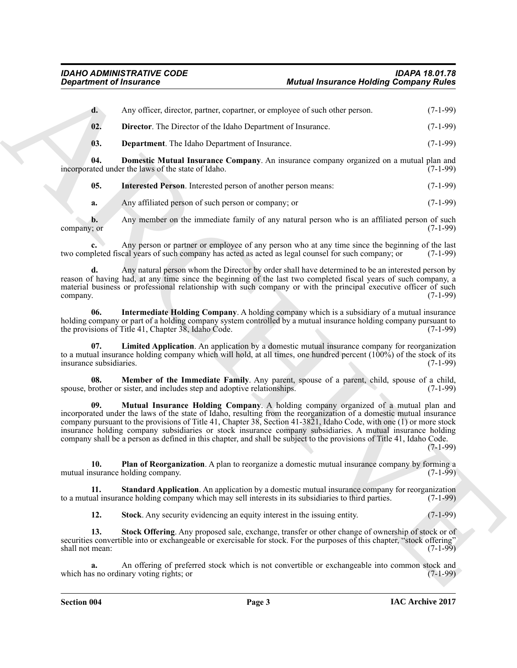<span id="page-2-11"></span><span id="page-2-10"></span><span id="page-2-9"></span><span id="page-2-8"></span><span id="page-2-7"></span><span id="page-2-6"></span><span id="page-2-5"></span><span id="page-2-4"></span><span id="page-2-3"></span><span id="page-2-2"></span><span id="page-2-1"></span><span id="page-2-0"></span>

| <b>Department of Insurance</b> |                                                                                                                                                                                                                                                                                                                                                                                                                                                                                                                                                                         | <b>Mutual Insurance Holding Company Rules</b> |            |
|--------------------------------|-------------------------------------------------------------------------------------------------------------------------------------------------------------------------------------------------------------------------------------------------------------------------------------------------------------------------------------------------------------------------------------------------------------------------------------------------------------------------------------------------------------------------------------------------------------------------|-----------------------------------------------|------------|
| $\mathbf{d}$ .                 | Any officer, director, partner, copartner, or employee of such other person.                                                                                                                                                                                                                                                                                                                                                                                                                                                                                            |                                               | $(7-1-99)$ |
| 02.                            | Director. The Director of the Idaho Department of Insurance.                                                                                                                                                                                                                                                                                                                                                                                                                                                                                                            |                                               | $(7-1-99)$ |
| 03.                            | <b>Department</b> . The Idaho Department of Insurance.                                                                                                                                                                                                                                                                                                                                                                                                                                                                                                                  |                                               | $(7-1-99)$ |
| 04.                            | <b>Domestic Mutual Insurance Company.</b> An insurance company organized on a mutual plan and<br>incorporated under the laws of the state of Idaho.                                                                                                                                                                                                                                                                                                                                                                                                                     |                                               | $(7-1-99)$ |
| 05.                            | Interested Person. Interested person of another person means:                                                                                                                                                                                                                                                                                                                                                                                                                                                                                                           |                                               | $(7-1-99)$ |
| a.                             | Any affiliated person of such person or company; or                                                                                                                                                                                                                                                                                                                                                                                                                                                                                                                     |                                               | $(7-1-99)$ |
| $\mathbf{b}$ .<br>company; or  | Any member on the immediate family of any natural person who is an affiliated person of such                                                                                                                                                                                                                                                                                                                                                                                                                                                                            |                                               | $(7-1-99)$ |
|                                | Any person or partner or employee of any person who at any time since the beginning of the last<br>two completed fiscal years of such company has acted as acted as legal counsel for such company; or                                                                                                                                                                                                                                                                                                                                                                  |                                               | $(7-1-99)$ |
| d.<br>company.                 | Any natural person whom the Director by order shall have determined to be an interested person by<br>reason of having had, at any time since the beginning of the last two completed fiscal years of such company, a<br>material business or professional relationship with such company or with the principal executive officer of such                                                                                                                                                                                                                                |                                               | $(7-1-99)$ |
| 06.                            | Intermediate Holding Company. A holding company which is a subsidiary of a mutual insurance<br>holding company or part of a holding company system controlled by a mutual insurance holding company pursuant to<br>the provisions of Title 41, Chapter 38, Idaho Code.                                                                                                                                                                                                                                                                                                  |                                               | $(7-1-99)$ |
| 07.<br>insurance subsidiaries. | Limited Application. An application by a domestic mutual insurance company for reorganization<br>to a mutual insurance holding company which will hold, at all times, one hundred percent $(100\%)$ of the stock of its                                                                                                                                                                                                                                                                                                                                                 |                                               | $(7-1-99)$ |
| 08.                            | Member of the Immediate Family. Any parent, spouse of a parent, child, spouse of a child,<br>spouse, brother or sister, and includes step and adoptive relationships.                                                                                                                                                                                                                                                                                                                                                                                                   |                                               | $(7-1-99)$ |
| 09.                            | Mutual Insurance Holding Company. A holding company organized of a mutual plan and<br>incorporated under the laws of the state of Idaho, resulting from the reorganization of a domestic mutual insurance<br>company pursuant to the provisions of Title 41, Chapter 38, Section 41-3821, Idaho Code, with one (1) or more stock<br>insurance holding company subsidiaries or stock insurance company subsidiaries. A mutual insurance holding<br>company shall be a person as defined in this chapter, and shall be subject to the provisions of Title 41, Idaho Code. |                                               | $(7-1-99)$ |
| 10.                            | <b>Plan of Reorganization</b> . A plan to reorganize a domestic mutual insurance company by forming a<br>mutual insurance holding company.                                                                                                                                                                                                                                                                                                                                                                                                                              |                                               | $(7-1-99)$ |
| 11.                            | <b>Standard Application</b> . An application by a domestic mutual insurance company for reorganization<br>to a mutual insurance holding company which may sell interests in its subsidiaries to third parties.                                                                                                                                                                                                                                                                                                                                                          |                                               | $(7-1-99)$ |
| 12.                            | Stock. Any security evidencing an equity interest in the issuing entity.                                                                                                                                                                                                                                                                                                                                                                                                                                                                                                |                                               | $(7-1-99)$ |
| 13.<br>shall not mean:         | Stock Offering. Any proposed sale, exchange, transfer or other change of ownership of stock or of<br>securities convertible into or exchangeable or exercisable for stock. For the purposes of this chapter, "stock offering"                                                                                                                                                                                                                                                                                                                                           |                                               | $(7-1-99)$ |
| a.                             | An offering of preferred stock which is not convertible or exchangeable into common stock and<br>which has no ordinary voting rights; or                                                                                                                                                                                                                                                                                                                                                                                                                                |                                               | $(7-1-99)$ |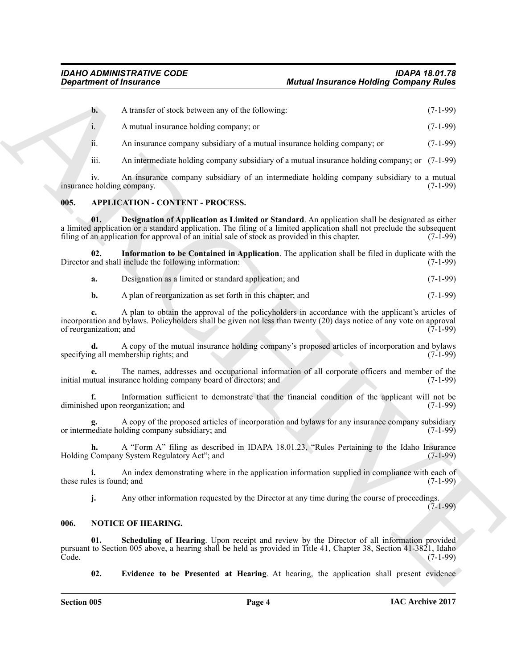**b.** A transfer of stock between any of the following: (7-1-99)

i. A mutual insurance holding company; or (7-1-99)

ii. An insurance company subsidiary of a mutual insurance holding company; or (7-1-99)

iii. An intermediate holding company subsidiary of a mutual insurance holding company; or (7-1-99)

iv. An insurance company subsidiary of an intermediate holding company subsidiary to a mutual insurance holding company.

### <span id="page-3-2"></span><span id="page-3-0"></span>**005. APPLICATION - CONTENT - PROCESS.**

<span id="page-3-3"></span>**01. Designation of Application as Limited or Standard**. An application shall be designated as either a limited application or a standard application. The filing of a limited application shall not preclude the subsequent filing of an application for approval of an initial sale of stock as provided in this chapter. (7-1-99) filing of an application for approval of an initial sale of stock as provided in this chapter.

**02. Information to be Contained in Application**. The application shall be filed in duplicate with the Director and shall include the following information:

<span id="page-3-4"></span>**a.** Designation as a limited or standard application; and  $(7-1-99)$ 

**b.** A plan of reorganization as set forth in this chapter; and (7-1-99)

**c.** A plan to obtain the approval of the policyholders in accordance with the applicant's articles of incorporation and bylaws. Policyholders shall be given not less than twenty (20) days notice of any vote on approval of reorganization; and

**d.** A copy of the mutual insurance holding company's proposed articles of incorporation and bylaws ( $7$ -1-99) specifying all membership rights; and

**e.** The names, addresses and occupational information of all corporate officers and member of the initial mutual insurance holding company board of directors; and (7-1-99)

**f.** Information sufficient to demonstrate that the financial condition of the applicant will not be ed upon reorganization: and (7-1-99) diminished upon reorganization; and

A copy of the proposed articles of incorporation and bylaws for any insurance company subsidiary lobidiary: and  $(7-1-99)$ or intermediate holding company subsidiary; and

**h.** A "Form A" filing as described in IDAPA 18.01.23, "Rules Pertaining to the Idaho Insurance Holding Company System Regulatory Act"; and (7-1-99)

**i.** An index demonstrating where in the application information supplied in compliance with each of es is found: and (7-1-99) these rules is found; and

<span id="page-3-7"></span><span id="page-3-5"></span>**j.** Any other information requested by the Director at any time during the course of proceedings.

### $(7-1-99)$

### <span id="page-3-1"></span>**006. NOTICE OF HEARING.**

**Exparament of financines**<br> **A** A metalle cloud between any of the Robert map<br>
A metalle cloud between any of the Robert map<br>
A metalle control between any of the Robert map<br>
A metalle control between any of the Robert me **01. Scheduling of Hearing**. Upon receipt and review by the Director of all information provided pursuant to Section 005 above, a hearing shall be held as provided in Title 41, Chapter 38, Section 41-3821, Idaho Code. (7-1-99)

<span id="page-3-6"></span>**02. Evidence to be Presented at Hearing**. At hearing, the application shall present evidence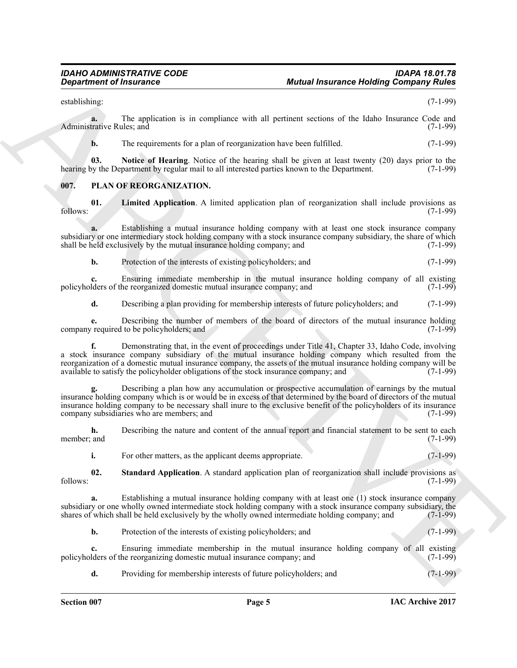establishing: (7-1-99)

**a.** The application is in compliance with all pertinent sections of the Idaho Insurance Code and (7-1-99) Administrative Rules: and

<span id="page-4-1"></span>**b.** The requirements for a plan of reorganization have been fulfilled. (7-1-99)

**03.** Notice of Hearing. Notice of the hearing shall be given at least twenty (20) days prior to the by regular mail to all interested parties known to the Department. (7-1-99) hearing by the Department by regular mail to all interested parties known to the Department.

### <span id="page-4-2"></span><span id="page-4-0"></span>**007. PLAN OF REORGANIZATION.**

<span id="page-4-3"></span>**01.** Limited Application. A limited application plan of reorganization shall include provisions as (7-1-99) follows: (7-1-99)

**a.** Establishing a mutual insurance holding company with at least one stock insurance company subsidiary or one intermediary stock holding company with a stock insurance company subsidiary, the share of which shall be held exclusively by the mutual insurance holding company; and (7-1-99) shall be held exclusively by the mutual insurance holding company; and

**b.** Protection of the interests of existing policyholders; and (7-1-99)

**c.** Ensuring immediate membership in the mutual insurance holding company of all existing iders of the reorganized domestic mutual insurance company; and (7-1-99) policyholders of the reorganized domestic mutual insurance company; and

**d.** Describing a plan providing for membership interests of future policyholders; and  $(7-1-99)$ 

**e.** Describing the number of members of the board of directors of the mutual insurance holding required to be policyholders; and (7-1-99) company required to be policyholders; and

**Experiment of financines**<br>
Scaling the architective is the samplines with all periode sections of the follow burner of  $C_1(-39)$ <br>
Additional The architective is the proposition of the samplines with all periode sections **f.** Demonstrating that, in the event of proceedings under Title 41, Chapter 33, Idaho Code, involving a stock insurance company subsidiary of the mutual insurance holding company which resulted from the reorganization of a domestic mutual insurance company, the assets of the mutual insurance holding company will be available to satisfy the policyholder obligations of the stock insurance company; and (7-1-99) available to satisfy the policyholder obligations of the stock insurance company; and

**g.** Describing a plan how any accumulation or prospective accumulation of earnings by the mutual insurance holding company which is or would be in excess of that determined by the board of directors of the mutual insurance holding company to be necessary shall inure to the exclusive benefit of the policyholders of its insurance company subsidiaries who are members; and

**h.** Describing the nature and content of the annual report and financial statement to be sent to each member; and (7-1-99) member; and (7-1-99)

<span id="page-4-4"></span>**i.** For other matters, as the applicant deems appropriate. (7-1-99)

**02.** Standard Application. A standard application plan of reorganization shall include provisions as (7-1-99) follows: (7-1-99)

Establishing a mutual insurance holding company with at least one (1) stock insurance company subsidiary or one wholly owned intermediate stock holding company with a stock insurance company subsidiary, the shares of which shall be held exclusively by the wholly owned intermediate holding company; and (7-1-99) shares of which shall be held exclusively by the wholly owned intermediate holding company; and

**b.** Protection of the interests of existing policyholders; and (7-1-99)

**c.** Ensuring immediate membership in the mutual insurance holding company of all existing lders of the reorganizing domestic mutual insurance company; and (7-1-99) policyholders of the reorganizing domestic mutual insurance company; and

**d.** Providing for membership interests of future policyholders; and (7-1-99)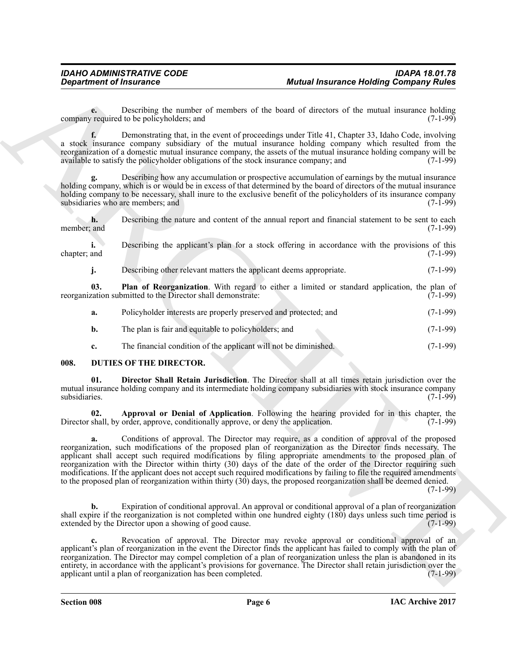**e.** Describing the number of members of the board of directors of the mutual insurance holding required to be policyholders; and (7-1-99) company required to be policyholders; and

**f.** Demonstrating that, in the event of proceedings under Title 41, Chapter 33, Idaho Code, involving a stock insurance company subsidiary of the mutual insurance holding company which resulted from the reorganization of a domestic mutual insurance company, the assets of the mutual insurance holding company will be available to satisfy the policyholder obligations of the stock insurance company; and (7-1-99)

**g.** Describing how any accumulation or prospective accumulation of earnings by the mutual insurance holding company, which is or would be in excess of that determined by the board of directors of the mutual insurance holding company to be necessary, shall inure to the exclusive benefit of the policyholders of its insurance company subsidiaries who are members: and (7-1-99) subsidiaries who are members; and

**h.** Describing the nature and content of the annual report and financial statement to be sent to each and (7-1-99) member; and

**i.** Describing the applicant's plan for a stock offering in accordance with the provisions of this chapter; and (7-1-99)

<span id="page-5-4"></span>**j.** Describing other relevant matters the applicant deems appropriate. (7-1-99)

**03. Plan of Reorganization**. With regard to either a limited or standard application, the plan of ration submitted to the Director shall demonstrate: (7-1-99) reorganization submitted to the Director shall demonstrate:

- **a.** Policyholder interests are properly preserved and protected; and (7-1-99)
- **b.** The plan is fair and equitable to policyholders; and (7-1-99)
- <span id="page-5-3"></span><span id="page-5-1"></span>**c.** The financial condition of the applicant will not be diminished. (7-1-99)

### <span id="page-5-0"></span>**008. DUTIES OF THE DIRECTOR.**

**01. Director Shall Retain Jurisdiction**. The Director shall at all times retain jurisdiction over the mutual insurance holding company and its intermediate holding company subsidiaries with stock insurance company<br>(7-1-99) subsidiaries. (7-1-99)

<span id="page-5-2"></span>**02. Approval or Denial of Application**. Following the hearing provided for in this chapter, the shall, by order, approve, conditionally approve, or deny the application. (7-1-99) Director shall, by order, approve, conditionally approve, or deny the application.

**Exparament of finances can be the based of a state of a state of the state of the state of the state of the state of the state of the state of the state of the state of the state of the state of the state of the state of a.** Conditions of approval. The Director may require, as a condition of approval of the proposed reorganization, such modifications of the proposed plan of reorganization as the Director finds necessary. The applicant shall accept such required modifications by filing appropriate amendments to the proposed plan of reorganization with the Director within thirty (30) days of the date of the order of the Director requiring such modifications. If the applicant does not accept such required modifications by failing to file the required amendments to the proposed plan of reorganization within thirty (30) days, the proposed reorganization shall be deemed denied.

 $(7-1-99)$ 

**b.** Expiration of conditional approval. An approval or conditional approval of a plan of reorganization shall expire if the reorganization is not completed within one hundred eighty (180) days unless such time period is extended by the Director upon a showing of good cause. extended by the Director upon a showing of good cause.

**c.** Revocation of approval. The Director may revoke approval or conditional approval of an applicant's plan of reorganization in the event the Director finds the applicant has failed to comply with the plan of reorganization. The Director may compel completion of a plan of reorganization unless the plan is abandoned in its entirety, in accordance with the applicant's provisions for governance. The Director shall retain jurisdiction over the applicant until a plan of reorganization has been completed. (7-1-99)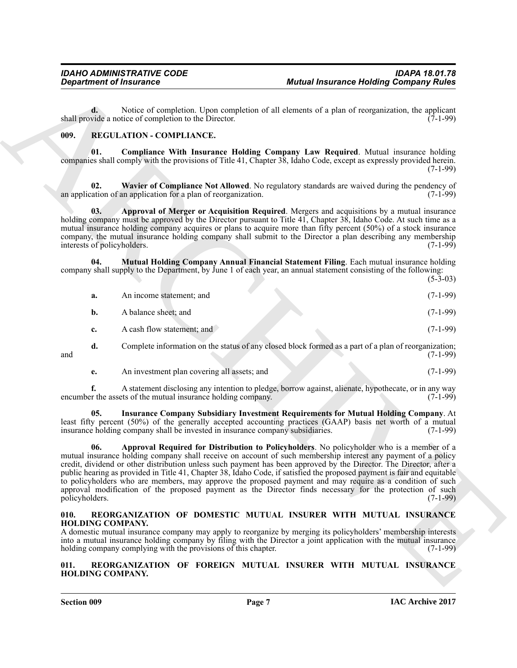**d.** Notice of completion. Upon completion of all elements of a plan of reorganization, the applicant vide a notice of completion to the Director. (7-1-99) shall provide a notice of completion to the Director.

### <span id="page-6-6"></span><span id="page-6-3"></span><span id="page-6-0"></span>**009. REGULATION - COMPLIANCE.**

**01. Compliance With Insurance Holding Company Law Required**. Mutual insurance holding companies shall comply with the provisions of Title 41, Chapter 38, Idaho Code, except as expressly provided herein. (7-1-99)

<span id="page-6-9"></span>**02.** Wavier of Compliance Not Allowed. No regulatory standards are waived during the pendency of action of an application for a plan of reorganization. (7-1-99) an application of an application for a plan of reorganization.

<span id="page-6-4"></span>**03. Approval of Merger or Acquisition Required**. Mergers and acquisitions by a mutual insurance holding company must be approved by the Director pursuant to Title 41, Chapter 38, Idaho Code. At such time as a mutual insurance holding company acquires or plans to acquire more than fifty percent (50%) of a stock insurance company, the mutual insurance holding company shall submit to the Director a plan describing any membership interests of policyholders. (7-1-99) interests of policyholders.

**04. Mutual Holding Company Annual Financial Statement Filing**. Each mutual insurance holding company shall supply to the Department, by June 1 of each year, an annual statement consisting of the following:  $(5-3-03)$ 

<span id="page-6-8"></span>

| a. | An income statement; and                                                                             | $(7-1-99)$ |
|----|------------------------------------------------------------------------------------------------------|------------|
| b. | A balance sheet; and                                                                                 | $(7-1-99)$ |
|    | A cash flow statement; and                                                                           | $(7-1-99)$ |
| d. | Complete information on the status of any closed block formed as a part of a plan of reorganization; |            |

and  $(7-1-99)$ 

<span id="page-6-7"></span>**e.** An investment plan covering all assets; and (7-1-99)

**f.** A statement disclosing any intention to pledge, borrow against, alienate, hypothecate, or in any way or the assets of the mutual insurance holding company. (7-1-99) encumber the assets of the mutual insurance holding company.

<span id="page-6-5"></span>**05. Insurance Company Subsidiary Investment Requirements for Mutual Holding Company**. At least fifty percent (50%) of the generally accepted accounting practices (GAAP) basis net worth of a mutual insurance holding company shall be invested in insurance company subsidiaries. (7-1-99) insurance holding company shall be invested in insurance company subsidiaries.

Begardment of financence<br>
Matter Hendrick Coompletion of the completion of the deterministic particles of a plane and section<br>
and section relation of the control of the state of the state of the state of the state of the **06. Approval Required for Distribution to Policyholders**. No policyholder who is a member of a mutual insurance holding company shall receive on account of such membership interest any payment of a policy credit, dividend or other distribution unless such payment has been approved by the Director. The Director, after a public hearing as provided in Title 41, Chapter 38, Idaho Code, if satisfied the proposed payment is fair and equitable to policyholders who are members, may approve the proposed payment and may require as a condition of such approval modification of the proposed payment as the Director finds necessary for the protection of such policyholders. (7-1-99)

### <span id="page-6-10"></span><span id="page-6-1"></span>**010. REORGANIZATION OF DOMESTIC MUTUAL INSURER WITH MUTUAL INSURANCE HOLDING COMPANY.**

A domestic mutual insurance company may apply to reorganize by merging its policyholders' membership interests into a mutual insurance holding company by filing with the Director a joint application with the mutual insurance holding company complying with the provisions of this chapter. (7-1-99)

<span id="page-6-11"></span><span id="page-6-2"></span>**011. REORGANIZATION OF FOREIGN MUTUAL INSURER WITH MUTUAL INSURANCE HOLDING COMPANY.**

**Section 009 Page 7**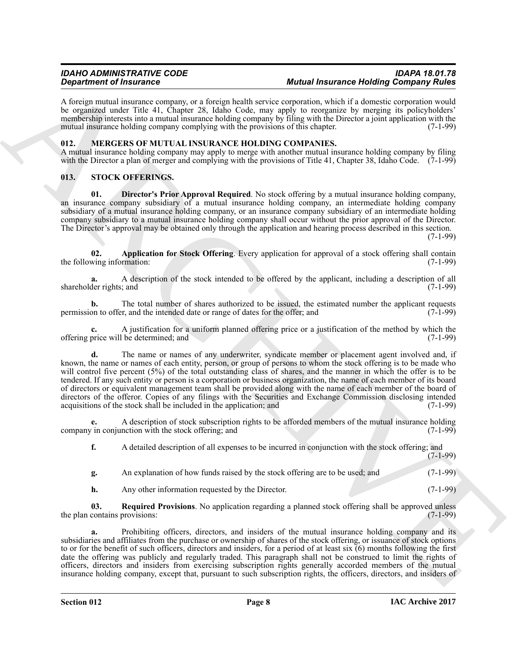A foreign mutual insurance company, or a foreign health service corporation, which if a domestic corporation would be organized under Title 41, Chapter 28, Idaho Code, may apply to reorganize by merging its policyholders' membership interests into a mutual insurance holding company by filing with the Director a joint application with the mutual insurance holding company complying with the provisions of this chapter. (7-1-99)

### <span id="page-7-2"></span><span id="page-7-0"></span>**012. MERGERS OF MUTUAL INSURANCE HOLDING COMPANIES.**

A mutual insurance holding company may apply to merge with another mutual insurance holding company by filing with the Director a plan of merger and complying with the provisions of Title 41, Chapter 38, Idaho Code. (7-1-99)

### <span id="page-7-3"></span><span id="page-7-1"></span>**013. STOCK OFFERINGS.**

<span id="page-7-5"></span>**01. Director's Prior Approval Required**. No stock offering by a mutual insurance holding company, an insurance company subsidiary of a mutual insurance holding company, an intermediate holding company subsidiary of a mutual insurance holding company, or an insurance company subsidiary of an intermediate holding company subsidiary to a mutual insurance holding company shall occur without the prior approval of the Director. The Director's approval may be obtained only through the application and hearing process described in this section.

(7-1-99)

<span id="page-7-4"></span>**02. Application for Stock Offering**. Every application for approval of a stock offering shall contain (7-1-99) the following information:

**a.** A description of the stock intended to be offered by the applicant, including a description of all der rights; and (7-1-99) shareholder rights; and

**b.** The total number of shares authorized to be issued, the estimated number the applicant requests on to offer, and the intended date or range of dates for the offer, and (7-1-99) permission to offer, and the intended date or range of dates for the offer; and

**c.** A justification for a uniform planned offering price or a justification of the method by which the offering price will be determined; and

**Dependent of Francesco Conservation** Mathematic method is the conservation of Francesco Conservation in the property of the conservation of the conservation of the conservation of the conservation of the conservation of **d.** The name or names of any underwriter, syndicate member or placement agent involved and, if known, the name or names of each entity, person, or group of persons to whom the stock offering is to be made who will control five percent (5%) of the total outstanding class of shares, and the manner in which the offer is to be tendered. If any such entity or person is a corporation or business organization, the name of each member of its board of directors or equivalent management team shall be provided along with the name of each member of the board of directors of the offeror. Copies of any filings with the Securities and Exchange Commission disclosing intended acquisitions of the stock shall be included in the application; and (7-1-99)

**e.** A description of stock subscription rights to be afforded members of the mutual insurance holding  $\pi$  in conjunction with the stock offering: and (7-1-99) company in conjunction with the stock offering; and

**f.** A detailed description of all expenses to be incurred in conjunction with the stock offering; and (7-1-99)

| An explanation of how funds raised by the stock offering are to be used; and | $(7-1-99)$ |
|------------------------------------------------------------------------------|------------|
|                                                                              |            |

<span id="page-7-6"></span>**h.** Any other information requested by the Director. (7-1-99)

**03.** Required Provisions. No application regarding a planned stock offering shall be approved unless contains provisions: (7-1-99) the plan contains provisions:

**a.** Prohibiting officers, directors, and insiders of the mutual insurance holding company and its subsidiaries and affiliates from the purchase or ownership of shares of the stock offering, or issuance of stock options to or for the benefit of such officers, directors and insiders, for a period of at least six  $(6)$  months following the first date the offering was publicly and regularly traded. This paragraph shall not be construed to limit the rights of officers, directors and insiders from exercising subscription rights generally accorded members of the mutual insurance holding company, except that, pursuant to such subscription rights, the officers, directors, and insiders of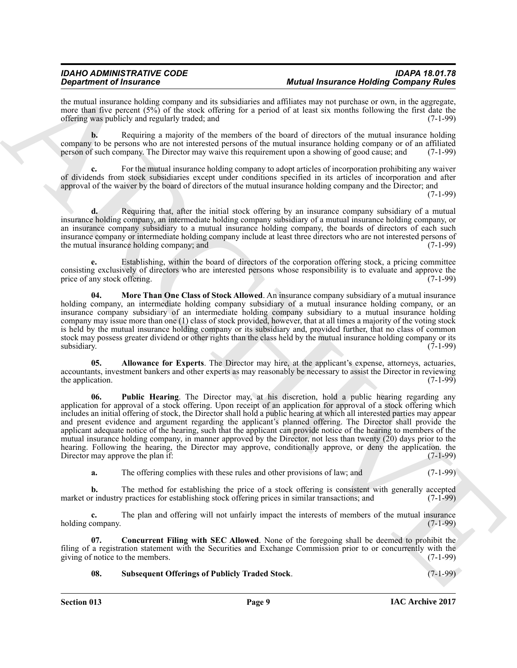the mutual insurance holding company and its subsidiaries and affiliates may not purchase or own, in the aggregate, more than five percent (5%) of the stock offering for a period of at least six months following the first date the offering was publicly and regularly traded; and  $(7-1-99)$ offering was publicly and regularly traded; and

**b.** Requiring a majority of the members of the board of directors of the mutual insurance holding company to be persons who are not interested persons of the mutual insurance holding company or of an affiliated person of such company. The Director may waive this requirement upon a showing of good cause; and (7-1-99) person of such company. The Director may waive this requirement upon a showing of good cause; and

**c.** For the mutual insurance holding company to adopt articles of incorporation prohibiting any waiver of dividends from stock subsidiaries except under conditions specified in its articles of incorporation and after approval of the waiver by the board of directors of the mutual insurance holding company and the Director; and

 $(7-1-99)$ 

**d.** Requiring that, after the initial stock offering by an insurance company subsidiary of a mutual insurance holding company, an intermediate holding company subsidiary of a mutual insurance holding company, or an insurance company subsidiary to a mutual insurance holding company, the boards of directors of each such insurance company or intermediate holding company include at least three directors who are not interested persons of the mutual insurance holding company; and the mutual insurance holding company; and

**e.** Establishing, within the board of directors of the corporation offering stock, a pricing committee consisting exclusively of directors who are interested persons whose responsibility is to evaluate and approve the price of any stock offering. price of any stock offering.

<span id="page-8-2"></span>**04. More Than One Class of Stock Allowed**. An insurance company subsidiary of a mutual insurance holding company, an intermediate holding company subsidiary of a mutual insurance holding company, or an insurance company subsidiary of an intermediate holding company subsidiary to a mutual insurance holding company may issue more than one (1) class of stock provided, however, that at all times a majority of the voting stock is held by the mutual insurance holding company or its subsidiary and, provided further, that no class of common stock may possess greater dividend or other rights than the class held by the mutual insurance holding company or its subsidiary. subsidiary. (7-1-99)

<span id="page-8-3"></span><span id="page-8-0"></span>**05. Allowance for Experts**. The Director may hire, at the applicant's expense, attorneys, actuaries, accountants, investment bankers and other experts as may reasonably be necessary to assist the Director in reviewing the application.  $(7-1-99)$ 

**Solution of Hustmaria CharaChies Ministers and Analysis and Analysis and Analysis and Analysis and Analysis and Analysis and Analysis and Analysis and Analysis and Analysis and Analysis and Analysis and Analysis and Anal 06. Public Hearing**. The Director may, at his discretion, hold a public hearing regarding any application for approval of a stock offering. Upon receipt of an application for approval of a stock offering which includes an initial offering of stock, the Director shall hold a public hearing at which all interested parties may appear and present evidence and argument regarding the applicant's planned offering. The Director shall provide the applicant adequate notice of the hearing, such that the applicant can provide notice of the hearing to members of the mutual insurance holding company, in manner approved by the Director, not less than twenty (20) days prior to the hearing. Following the hearing, the Director may approve, conditionally approve, or deny the application. the Director may approve the plan if: (7-1-99)

**a.** The offering complies with these rules and other provisions of law; and (7-1-99)

**b.** The method for establishing the price of a stock offering is consistent with generally accepted market or industry practices for establishing stock offering prices in similar transactions; and  $(7-1-99)$ 

**c.** The plan and offering will not unfairly impact the interests of members of the mutual insurance company. (7-1-99) holding company.

**07. Concurrent Filing with SEC Allowed**. None of the foregoing shall be deemed to prohibit the filing of a registration statement with the Securities and Exchange Commission prior to or concurrently with the giving of notice to the members. (7-1-99) giving of notice to the members.

<span id="page-8-4"></span><span id="page-8-1"></span>**08. Subsequent Offerings of Publicly Traded Stock**. (7-1-99)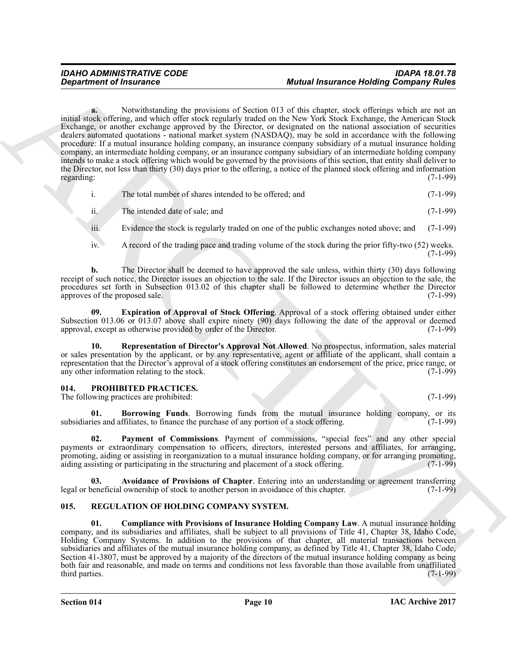**Exparament of Insurance Mother Shows in Section 10.15 that shows that we have a set of the state of the state of the state of the state of the state of the state of the state of the state of the state of the state of the a.** Notwithstanding the provisions of Section 013 of this chapter, stock offerings which are not an initial stock offering, and which offer stock regularly traded on the New York Stock Exchange, the American Stock Exchange, or another exchange approved by the Director, or designated on the national association of securities dealers automated quotations - national market system (NASDAQ), may be sold in accordance with the following procedure: If a mutual insurance holding company, an insurance company subsidiary of a mutual insurance holding company, an intermediate holding company, or an insurance company subsidiary of an intermediate holding company intends to make a stock offering which would be governed by the provisions of this section, that entity shall deliver to the Director, not less than thirty (30) days prior to the offering, a notice of the planned stock offering and information regarding: (7-1-99)

|  | The total number of shares intended to be offered; and | $(7-1-99)$ |
|--|--------------------------------------------------------|------------|
|--|--------------------------------------------------------|------------|

| The intended date of sale; and | $(7-1-99)$ |
|--------------------------------|------------|
|                                |            |

- iii. Evidence the stock is regularly traded on one of the public exchanges noted above; and (7-1-99)
- iv. A record of the trading pace and trading volume of the stock during the prior fifty-two (52) weeks.  $(7-1-99)$

**b.** The Director shall be deemed to have approved the sale unless, within thirty (30) days following receipt of such notice, the Director issues an objection to the sale. If the Director issues an objection to the sale, the procedures set forth in Subsection 013.02 of this chapter shall be followed to determine whether the Director approves of the proposed sale. (7-1-99) approves of the proposed sale.

<span id="page-9-8"></span>**09. Expiration of Approval of Stock Offering**. Approval of a stock offering obtained under either Subsection 013.06 or 013.07 above shall expire ninety (90) days following the date of the approval or deemed approval. except as otherwise provided by order of the Director. (7-1-99) approval, except as otherwise provided by order of the Director.

<span id="page-9-9"></span>**10. Representation of Director's Approval Not Allowed**. No prospectus, information, sales material or sales presentation by the applicant, or by any representative, agent or affiliate of the applicant, shall contain a representation that the Director's approval of a stock offering constitutes an endorsement of the price, price range, or<br>(7-1-99) or any other information relating to the stock. any other information relating to the stock.

### <span id="page-9-2"></span><span id="page-9-0"></span>**014. PROHIBITED PRACTICES.**

The following practices are prohibited: (7-1-99) (7-1-99)

<span id="page-9-4"></span>**01. Borrowing Funds**. Borrowing funds from the mutual insurance holding company, or its is and affiliates, to finance the purchase of any portion of a stock offering. (7-1-99) subsidiaries and affiliates, to finance the purchase of any portion of a stock offering.

<span id="page-9-5"></span>**02. Payment of Commissions**. Payment of commissions, "special fees" and any other special payments or extraordinary compensation to officers, directors, interested persons and affiliates, for arranging, promoting, aiding or assisting in reorganization to a mutual insurance holding company, or for arranging promoting, aiding assisting or participating in the structuring and placement of a stock offering. (7-1-99) aiding assisting or participating in the structuring and placement of a stock offering.

<span id="page-9-3"></span>**Avoidance of Provisions of Chapter**. Entering into an understanding or agreement transferring cownership of stock to another person in avoidance of this chapter. (7-1-99) legal or beneficial ownership of stock to another person in avoidance of this chapter.

### <span id="page-9-6"></span><span id="page-9-1"></span>**015. REGULATION OF HOLDING COMPANY SYSTEM.**

<span id="page-9-7"></span>**01. Compliance with Provisions of Insurance Holding Company Law**. A mutual insurance holding company, and its subsidiaries and affiliates, shall be subject to all provisions of Title 41, Chapter 38, Idaho Code, Holding Company Systems. In addition to the provisions of that chapter, all material transactions between subsidiaries and affiliates of the mutual insurance holding company, as defined by Title 41, Chapter 38, Idaho Code, Section 41-3807, must be approved by a majority of the directors of the mutual insurance holding company as being both fair and reasonable, and made on terms and conditions not less favorable than those available from unaffiliated third parties. (7-1-99) third parties. (7-1-99)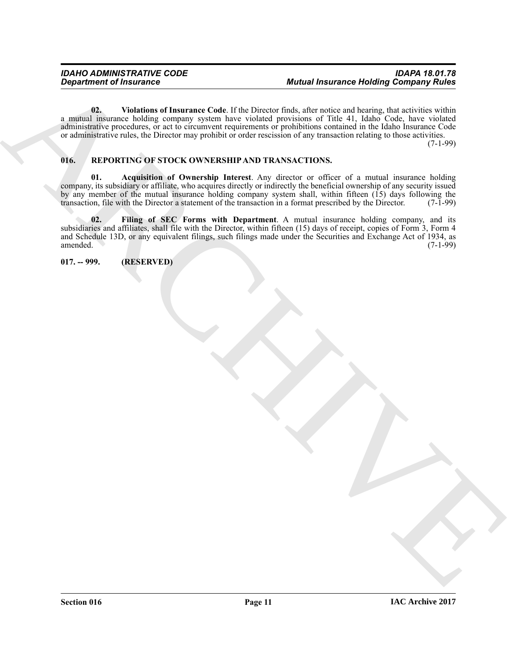<span id="page-10-2"></span>**02. Violations of Insurance Code**. If the Director finds, after notice and hearing, that activities within a mutual insurance holding company system have violated provisions of Title 41, Idaho Code, have violated administrative procedures, or act to circumvent requirements or prohibitions contained in the Idaho Insurance Code or administrative rules, the Director may prohibit or order rescission of any transaction relating to those activities.

(7-1-99)

### <span id="page-10-3"></span><span id="page-10-0"></span>**016. REPORTING OF STOCK OWNERSHIP AND TRANSACTIONS.**

<span id="page-10-5"></span><span id="page-10-4"></span>**01. Acquisition of Ownership Interest**. Any director or officer of a mutual insurance holding company, its subsidiary or affiliate, who acquires directly or indirectly the beneficial ownership of any security issued by any member of the mutual insurance holding company system shall, within fifteen  $(15)$  days following the transaction. file with the Director a statement of the transaction in a format prescribed by the Director. (7-1transaction, file with the Director a statement of the transaction in a format prescribed by the Director.

Begard for the United States of the United States of the United States of the United States of the United States of the United States of the United States of the United States of the United States of the United States of **02. Filing of SEC Forms with Department**. A mutual insurance holding company, and its subsidiaries and affiliates, shall file with the Director, within fifteen (15) days of receipt, copies of Form 3, Form 4 and Schedule 13D, or any equivalent filings, such filings made under the Securities and Exchange Act of 1934, as amended. (7-1-99) amended. (7-1-99)

<span id="page-10-1"></span>**017. -- 999. (RESERVED)**